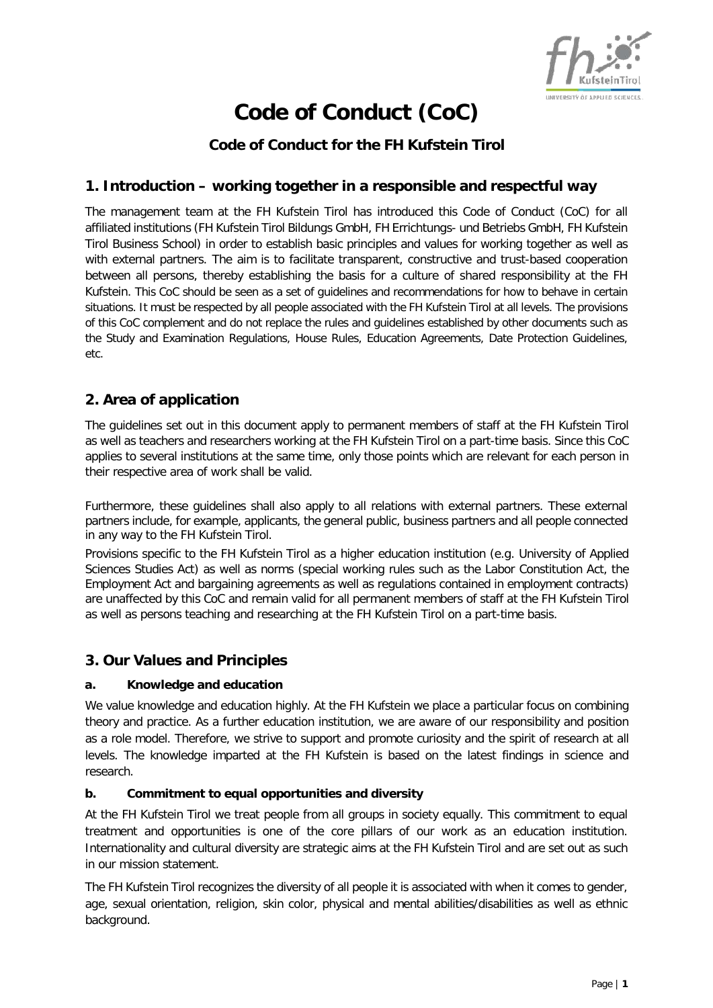

# **Code of Conduct (CoC)**

# **Code of Conduct for the FH Kufstein Tirol**

## **1. Introduction – working together in a responsible and respectful way**

The management team at the FH Kufstein Tirol has introduced this Code of Conduct (CoC) for all affiliated institutions (FH Kufstein Tirol Bildungs GmbH, FH Errichtungs- und Betriebs GmbH, FH Kufstein Tirol Business School) in order to establish basic principles and values for working together as well as with external partners. The aim is to facilitate transparent, constructive and trust-based cooperation between all persons, thereby establishing the basis for a culture of shared responsibility at the FH Kufstein. This CoC should be seen as a set of guidelines and recommendations for how to behave in certain situations. It must be respected by all people associated with the FH Kufstein Tirol at all levels. The provisions of this CoC complement and do not replace the rules and guidelines established by other documents such as the Study and Examination Regulations, House Rules, Education Agreements, Date Protection Guidelines, etc.

## **2. Area of application**

The guidelines set out in this document apply to permanent members of staff at the FH Kufstein Tirol as well as teachers and researchers working at the FH Kufstein Tirol on a part-time basis. Since this CoC applies to several institutions at the same time, only those points which are relevant for each person in their respective area of work shall be valid.

Furthermore, these guidelines shall also apply to all relations with external partners. These external partners include, for example, applicants, the general public, business partners and all people connected in any way to the FH Kufstein Tirol.

Provisions specific to the FH Kufstein Tirol as a higher education institution (e.g. University of Applied Sciences Studies Act) as well as norms (special working rules such as the Labor Constitution Act, the Employment Act and bargaining agreements as well as regulations contained in employment contracts) are unaffected by this CoC and remain valid for all permanent members of staff at the FH Kufstein Tirol as well as persons teaching and researching at the FH Kufstein Tirol on a part-time basis.

#### **3. Our Values and Principles**

#### **a. Knowledge and education**

We value knowledge and education highly. At the FH Kufstein we place a particular focus on combining theory and practice. As a further education institution, we are aware of our responsibility and position as a role model. Therefore, we strive to support and promote curiosity and the spirit of research at all levels. The knowledge imparted at the FH Kufstein is based on the latest findings in science and research.

#### **b. Commitment to equal opportunities and diversity**

At the FH Kufstein Tirol we treat people from all groups in society equally. This commitment to equal treatment and opportunities is one of the core pillars of our work as an education institution. Internationality and cultural diversity are strategic aims at the FH Kufstein Tirol and are set out as such in our mission statement.

The FH Kufstein Tirol recognizes the diversity of all people it is associated with when it comes to gender, age, sexual orientation, religion, skin color, physical and mental abilities/disabilities as well as ethnic background.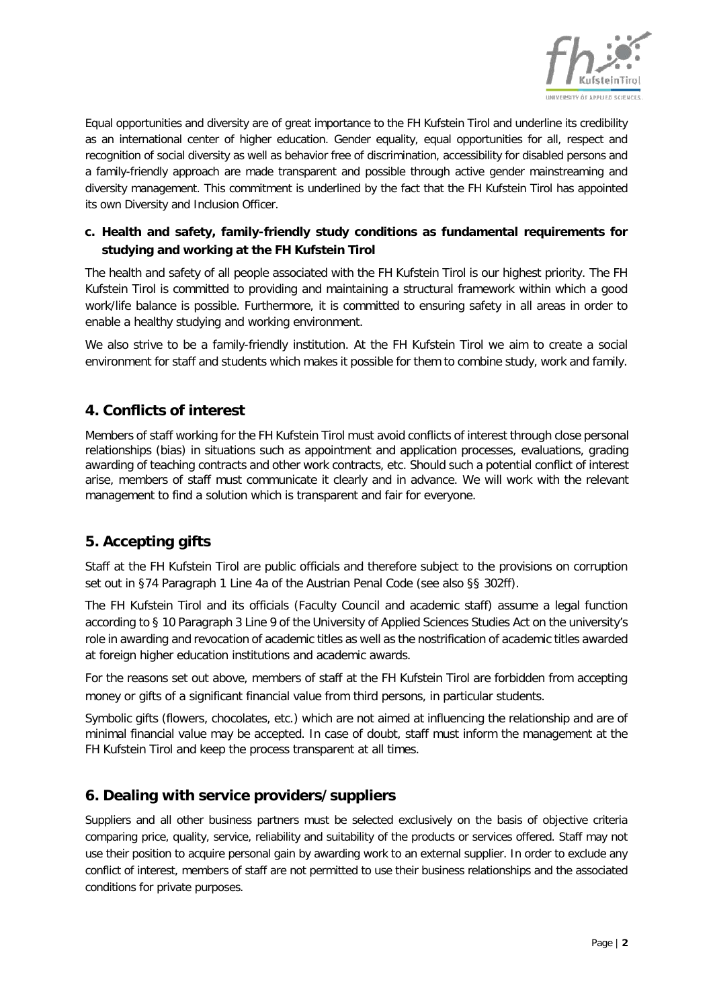

Equal opportunities and diversity are of great importance to the FH Kufstein Tirol and underline its credibility as an international center of higher education. Gender equality, equal opportunities for all, respect and recognition of social diversity as well as behavior free of discrimination, accessibility for disabled persons and a family-friendly approach are made transparent and possible through active gender mainstreaming and diversity management. This commitment is underlined by the fact that the FH Kufstein Tirol has appointed its own Diversity and Inclusion Officer.

#### **c. Health and safety, family-friendly study conditions as fundamental requirements for studying and working at the FH Kufstein Tirol**

The health and safety of all people associated with the FH Kufstein Tirol is our highest priority. The FH Kufstein Tirol is committed to providing and maintaining a structural framework within which a good work/life balance is possible. Furthermore, it is committed to ensuring safety in all areas in order to enable a healthy studying and working environment.

We also strive to be a family-friendly institution. At the FH Kufstein Tirol we aim to create a social environment for staff and students which makes it possible for them to combine study, work and family.

# **4. Conflicts of interest**

Members of staff working for the FH Kufstein Tirol must avoid conflicts of interest through close personal relationships (bias) in situations such as appointment and application processes, evaluations, grading awarding of teaching contracts and other work contracts, etc. Should such a potential conflict of interest arise, members of staff must communicate it clearly and in advance. We will work with the relevant management to find a solution which is transparent and fair for everyone.

# **5. Accepting gifts**

Staff at the FH Kufstein Tirol are public officials and therefore subject to the provisions on corruption set out in §74 Paragraph 1 Line 4a of the Austrian Penal Code (see also §§ 302ff).

The FH Kufstein Tirol and its officials (Faculty Council and academic staff) assume a legal function according to § 10 Paragraph 3 Line 9 of the University of Applied Sciences Studies Act on the university's role in awarding and revocation of academic titles as well as the nostrification of academic titles awarded at foreign higher education institutions and academic awards.

For the reasons set out above, members of staff at the FH Kufstein Tirol are forbidden from accepting money or gifts of a significant financial value from third persons, in particular students.

Symbolic gifts (flowers, chocolates, etc.) which are not aimed at influencing the relationship and are of minimal financial value may be accepted. In case of doubt, staff must inform the management at the FH Kufstein Tirol and keep the process transparent at all times.

# **6. Dealing with service providers/suppliers**

Suppliers and all other business partners must be selected exclusively on the basis of objective criteria comparing price, quality, service, reliability and suitability of the products or services offered. Staff may not use their position to acquire personal gain by awarding work to an external supplier. In order to exclude any conflict of interest, members of staff are not permitted to use their business relationships and the associated conditions for private purposes.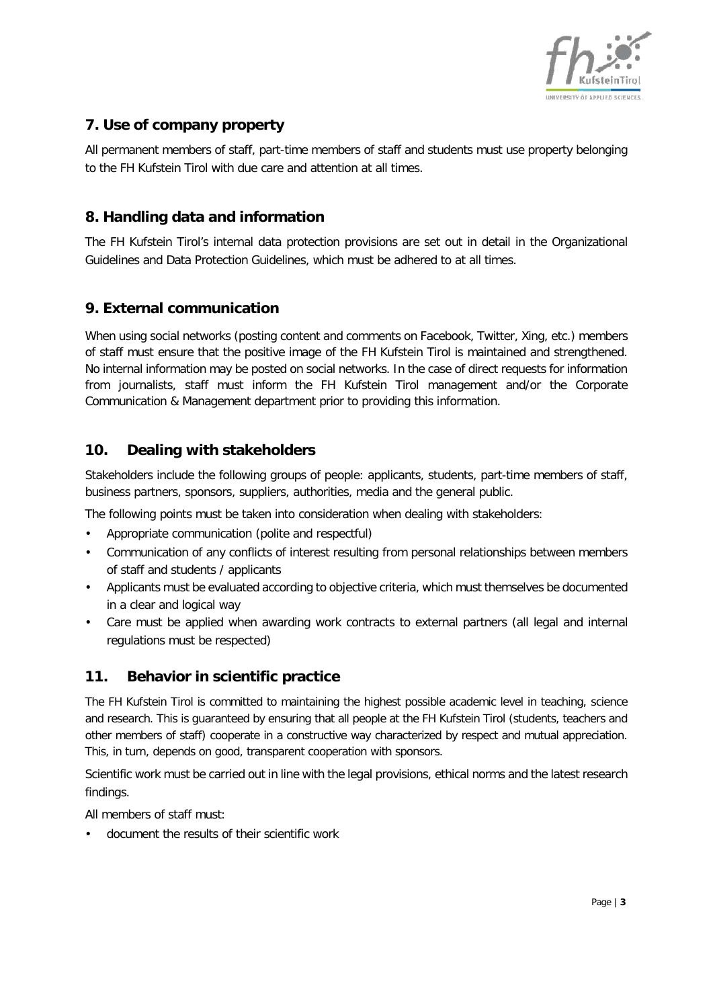

# **7. Use of company property**

All permanent members of staff, part-time members of staff and students must use property belonging to the FH Kufstein Tirol with due care and attention at all times.

### **8. Handling data and information**

The FH Kufstein Tirol's internal data protection provisions are set out in detail in the Organizational Guidelines and Data Protection Guidelines, which must be adhered to at all times.

#### **9. External communication**

When using social networks (posting content and comments on Facebook, Twitter, Xing, etc.) members of staff must ensure that the positive image of the FH Kufstein Tirol is maintained and strengthened. No internal information may be posted on social networks. In the case of direct requests for information from journalists, staff must inform the FH Kufstein Tirol management and/or the Corporate Communication & Management department prior to providing this information.

## **10. Dealing with stakeholders**

Stakeholders include the following groups of people: applicants, students, part-time members of staff, business partners, sponsors, suppliers, authorities, media and the general public.

The following points must be taken into consideration when dealing with stakeholders:

- Appropriate communication (polite and respectful)
- Communication of any conflicts of interest resulting from personal relationships between members of staff and students / applicants
- Applicants must be evaluated according to objective criteria, which must themselves be documented in a clear and logical way
- Care must be applied when awarding work contracts to external partners (all legal and internal regulations must be respected)

# **11. Behavior in scientific practice**

The FH Kufstein Tirol is committed to maintaining the highest possible academic level in teaching, science and research. This is guaranteed by ensuring that all people at the FH Kufstein Tirol (students, teachers and other members of staff) cooperate in a constructive way characterized by respect and mutual appreciation. This, in turn, depends on good, transparent cooperation with sponsors.

Scientific work must be carried out in line with the legal provisions, ethical norms and the latest research findings.

All members of staff must:

• document the results of their scientific work